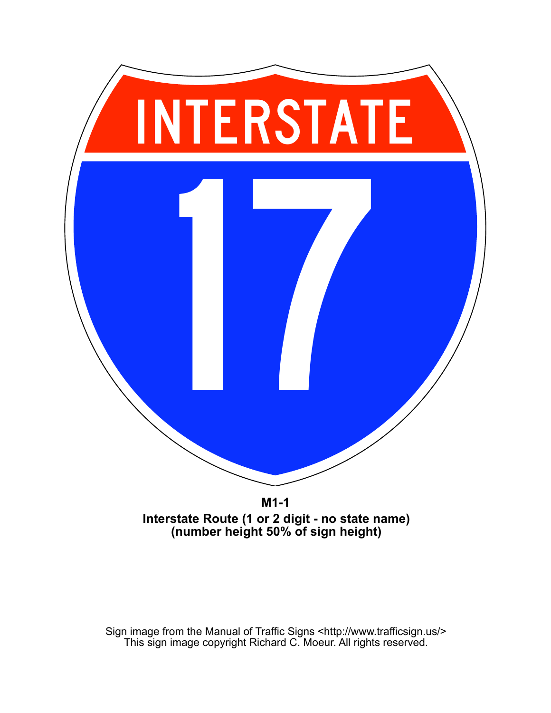

**M1-1 Interstate Route (1 or 2 digit - no state name)**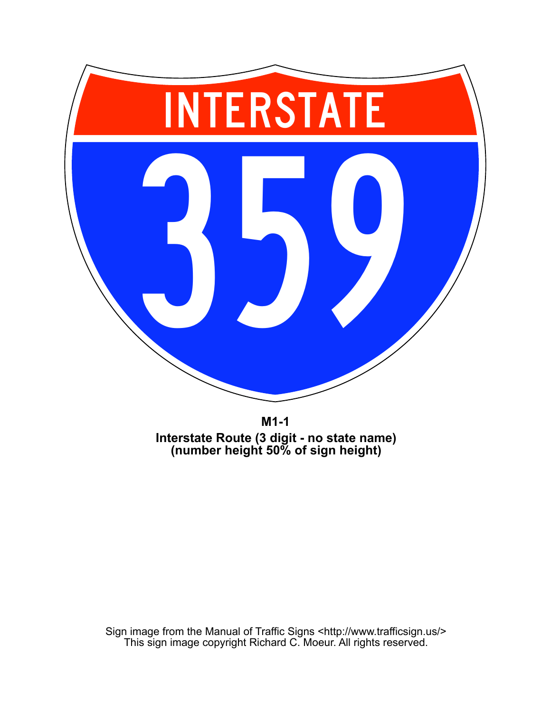

**M1-1 Interstate Route (3 digit - no state name) (number height 50% of sign height)**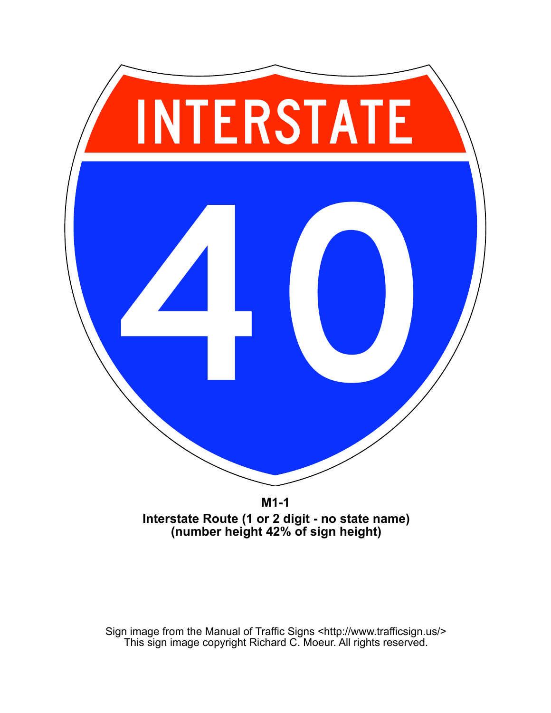

**M1-1 Interstate Route (1 or 2 digit - no state name)**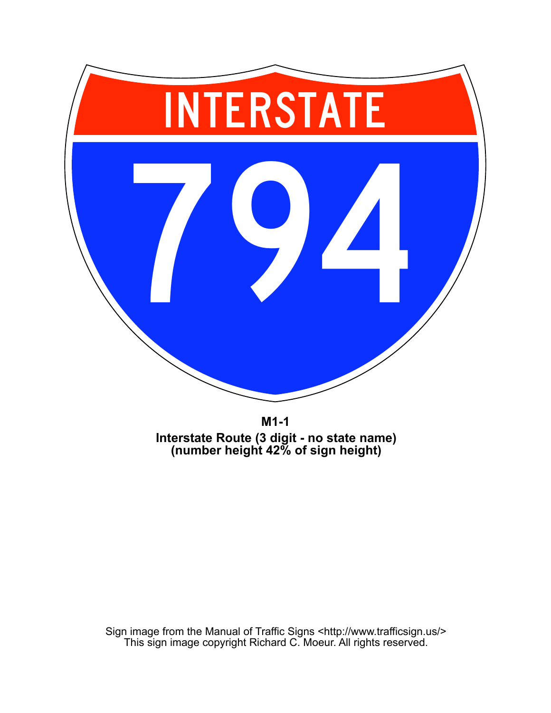

**M1-1 Interstate Route (3 digit - no state name) (number height 42% of sign height)**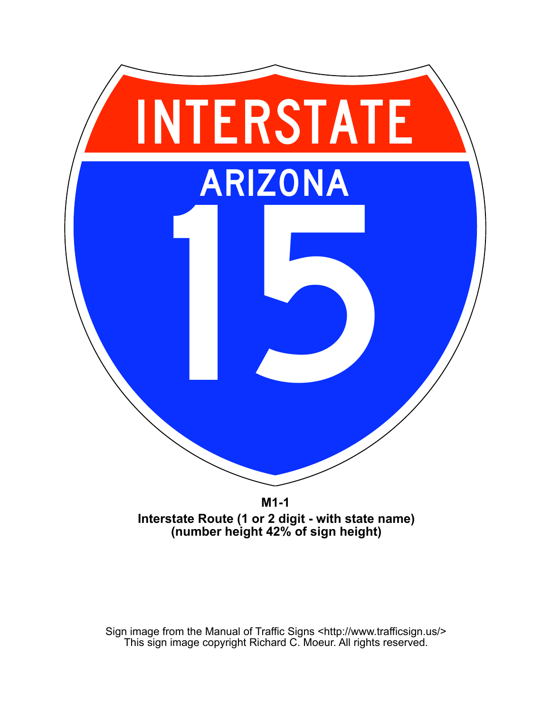

**M1-1 Interstate Route (1 or 2 digit - with state name) (number height 42% of sign height)**